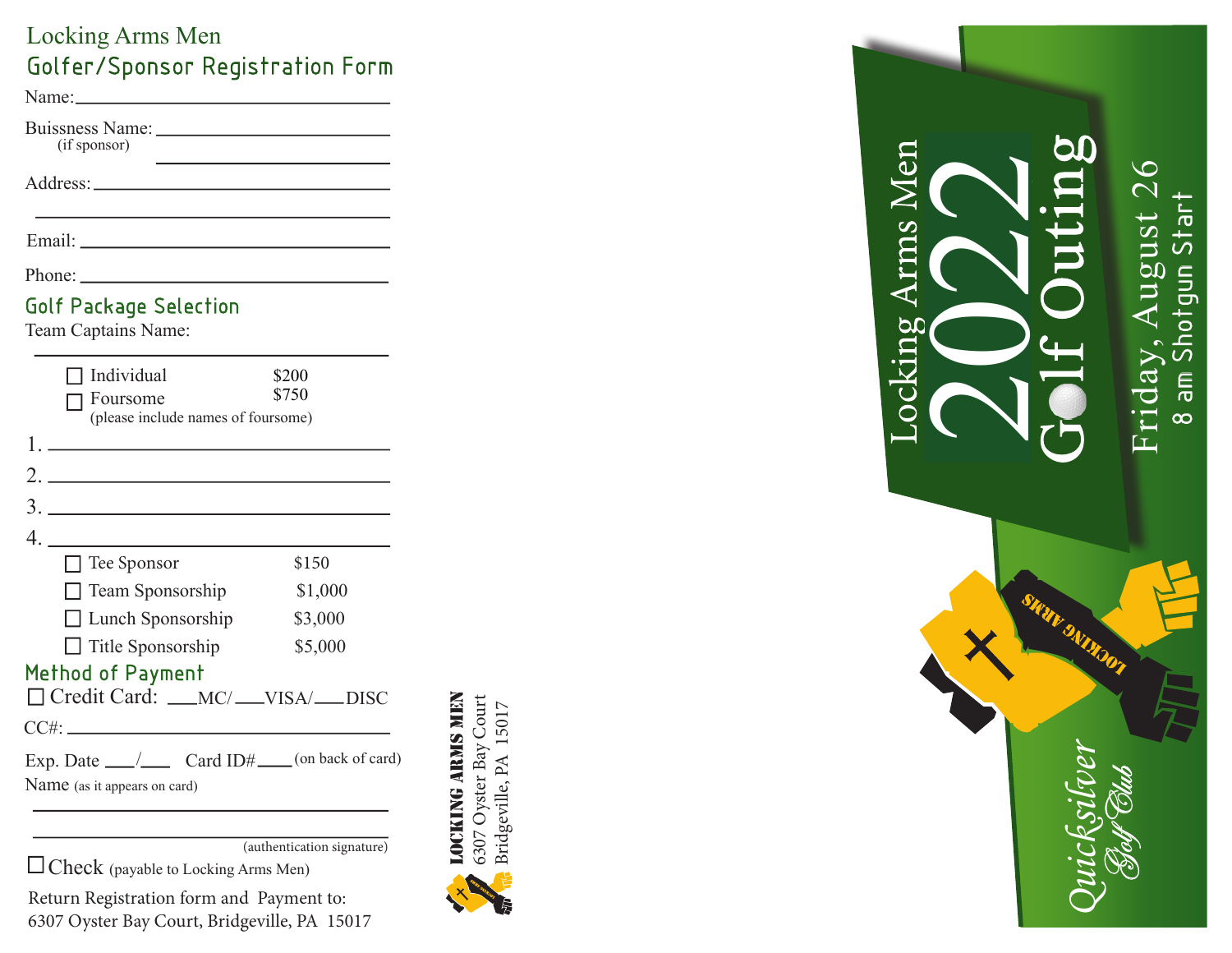## Locking Arms Men Golfer/Sponsor Registration Form

Name:

Buissness Name: 1988  $(if sponsor)$ 

Phone:

## Golf Package Selection

Team Captains Name:

|                                                                                         | Individual<br>  Foursome<br>(please include names of foursome) | \$200<br>\$750 |
|-----------------------------------------------------------------------------------------|----------------------------------------------------------------|----------------|
|                                                                                         |                                                                |                |
| $\mathcal{D}$                                                                           | <u> 1989 - Johann Barbara, martin a</u>                        |                |
|                                                                                         |                                                                |                |
|                                                                                         | $\frac{4}{\sqrt{2}}$                                           |                |
|                                                                                         | $\Box$ Tee Sponsor                                             | \$150          |
|                                                                                         | $\Box$ Team Sponsorship                                        | \$1,000        |
|                                                                                         | $\Box$ Lunch Sponsorship                                       | \$3,000        |
|                                                                                         | $\Box$ Title Sponsorship                                       | \$5,000        |
| Method of Payment<br>Credit Card: __MC/__VISA/__DISC                                    |                                                                |                |
|                                                                                         |                                                                |                |
| Exp. Date ______/_______ Card ID#_____(on back of card)<br>Name (as it appears on card) |                                                                |                |

(authentication signature)

 $\Box$  Check (payable to Locking Arms Men)

Return Registration form and Payment to: 6307 Oyster Bay Court, Bridgeville, PA 15017